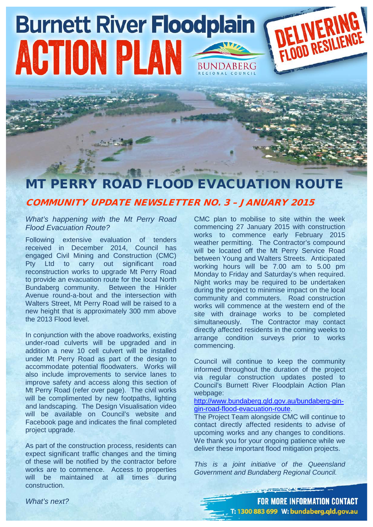## DELIVERING **Burnett River Floodplain** ACTION PLAN BUNDABERG

## MT PERRY ROAD FLOOD EVACUATION ROUTE

## COMMUNITY UPDATE NEWSLETTER NO. 3 – JANUARY 2015

## *What's happening with the Mt Perry Road Flood Evacuation Route?*

Following extensive evaluation of tenders received in December 2014, Council has engaged Civil Mining and Construction (CMC) Pty Ltd to carry out significant road reconstruction works to upgrade Mt Perry Road to provide an evacuation route for the local North Bundaberg community. Between the Hinkler Avenue round-a-bout and the intersection with Walters Street, Mt Perry Road will be raised to a new height that is approximately 300 mm above the 2013 Flood level.

In conjunction with the above roadworks, existing under-road culverts will be upgraded and in addition a new 10 cell culvert will be installed under Mt Perry Road as part of the design to accommodate potential floodwaters. Works will also include improvements to service lanes to improve safety and access along this section of Mt Perry Road (refer over page). The civil works will be complimented by new footpaths, lighting and landscaping. The Design Visualisation video will be available on Council's website and Facebook page and indicates the final completed project upgrade.

As part of the construction process, residents can expect significant traffic changes and the timing of these will be notified by the contractor before works are to commence. Access to properties will be maintained at all times during construction.

CMC plan to mobilise to site within the week commencing 27 January 2015 with construction works to commence early February 2015 weather permitting. The Contractor's compound will be located off the Mt Perry Service Road between Young and Walters Streets. Anticipated working hours will be 7.00 am to 5.00 pm Monday to Friday and Saturday's when required. Night works may be required to be undertaken during the project to minimise impact on the local community and commuters. Road construction works will commence at the western end of the site with drainage works to be completed simultaneously. The Contractor may contact directly affected residents in the coming weeks to arrange condition surveys prior to works commencing.

Council will continue to keep the community informed throughout the duration of the project via regular construction updates posted to Council's Burnett River Floodplain Action Plan webpage:

[http://www.bundaberg.qld.gov.au/bundaberg-gin](http://www.bundaberg.qld.gov.au/bundaberg-gin-gin-road-flood-evacuation-route)[gin-road-flood-evacuation-route.](http://www.bundaberg.qld.gov.au/bundaberg-gin-gin-road-flood-evacuation-route)

The Project Team alongside CMC will continue to contact directly affected residents to advise of upcoming works and any changes to conditions. We thank you for your ongoing patience while we deliver these important flood mitigation projects.

*This is a joint initiative of the Queensland Government and Bundaberg Regional Council.* 

*What's next?* 

**FOR MORE INFORMATION CONTACT** T: 1300 883 699 W: bundaberg.qld.gov.au